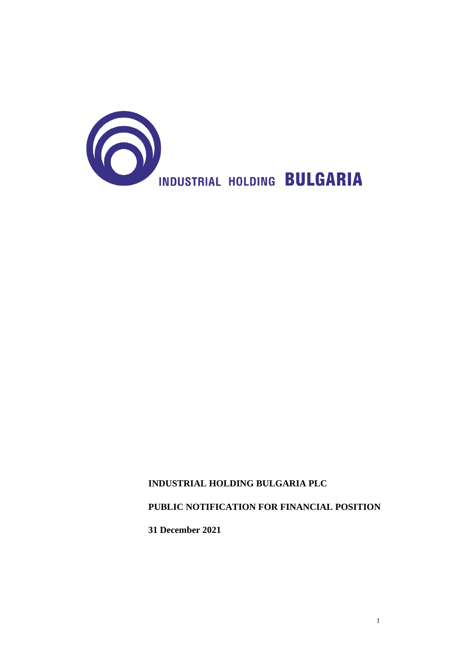

# **PUBLIC NOTIFICATION FOR FINANCIAL POSITION**

**31 December 2021**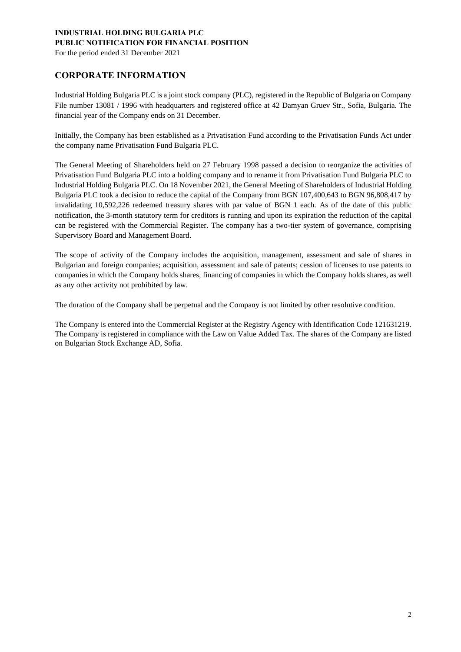For the period ended 31 December 2021

## **CORPORATE INFORMATION**

Industrial Holding Bulgaria PLC is a joint stock company (PLC), registered in the Republic of Bulgaria on Company File number 13081 / 1996 with headquarters and registered office at 42 Damyan Gruev Str., Sofia, Bulgaria. The financial year of the Company ends on 31 December.

Initially, the Company has been established as a Privatisation Fund according to the Privatisation Funds Act under the company name Privatisation Fund Bulgaria PLC.

The General Meeting of Shareholders held on 27 February 1998 passed a decision to reorganize the activities of Privatisation Fund Bulgaria PLC into a holding company and to rename it from Privatisation Fund Bulgaria PLC to Industrial Holding Bulgaria PLC. On 18 November 2021, the General Meeting of Shareholders of Industrial Holding Bulgaria PLC took a decision to reduce the capital of the Company from BGN 107,400,643 to BGN 96,808,417 by invalidating 10,592,226 redeemed treasury shares with par value of BGN 1 each. As of the date of this public notification, the 3-month statutory term for creditors is running and upon its expiration the reduction of the capital can be registered with the Commercial Register. The company has a two-tier system of governance, comprising Supervisory Board and Management Board.

The scope of activity of the Company includes the acquisition, management, assessment and sale of shares in Bulgarian and foreign companies; acquisition, assessment and sale of patents; cession of licenses to use patents to companies in which the Company holds shares, financing of companies in which the Company holds shares, as well as any other activity not prohibited by law.

The duration of the Company shall be perpetual and the Company is not limited by other resolutive condition.

The Company is entered into the Commercial Register at the Registry Agency with Identification Code 121631219. The Company is registered in compliance with the Law on Value Added Tax. The shares of the Company are listed on Bulgarian Stock Exchange AD, Sofia.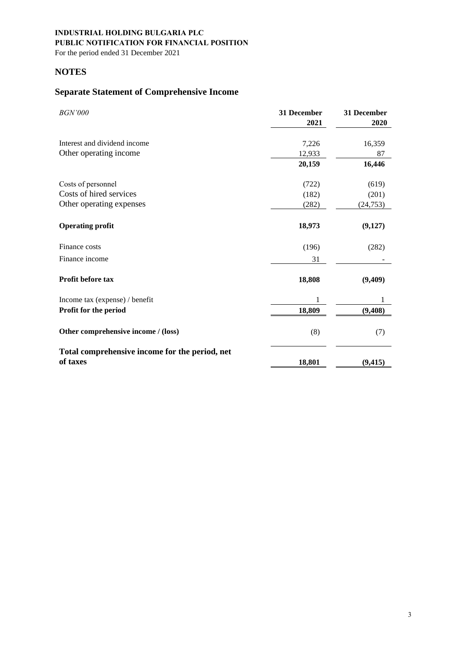For the period ended 31 December 2021

## **NOTES**

# **Separate Statement of Comprehensive Income**

| <b>BGN'000</b>                                             | 31 December<br>2021 | 31 December<br>2020 |
|------------------------------------------------------------|---------------------|---------------------|
| Interest and dividend income                               | 7,226               | 16,359              |
| Other operating income                                     | 12,933              | 87                  |
|                                                            | 20,159              | 16,446              |
|                                                            |                     |                     |
| Costs of personnel                                         | (722)               | (619)               |
| Costs of hired services                                    | (182)               | (201)               |
| Other operating expenses                                   | (282)               | (24, 753)           |
| <b>Operating profit</b>                                    | 18,973              | (9,127)             |
| Finance costs                                              | (196)               | (282)               |
| Finance income                                             | 31                  |                     |
| Profit before tax                                          | 18,808              | (9,409)             |
| Income tax (expense) / benefit                             | 1                   | 1                   |
| Profit for the period                                      | 18,809              | (9, 408)            |
| Other comprehensive income / (loss)                        | (8)                 | (7)                 |
| Total comprehensive income for the period, net<br>of taxes | 18,801              | (9, 415)            |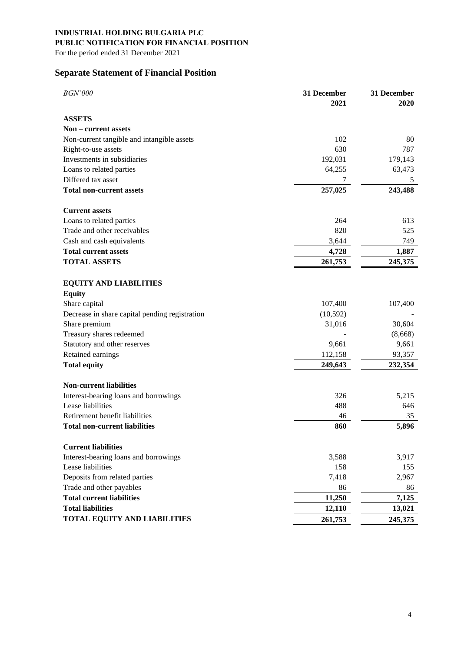## **PUBLIC NOTIFICATION FOR FINANCIAL POSITION**

For the period ended 31 December 2021

## **Separate Statement of Financial Position**

| <b>BGN'000</b>                                 | 31 December<br>2021 | 31 December<br>2020 |
|------------------------------------------------|---------------------|---------------------|
| <b>ASSETS</b>                                  |                     |                     |
| Non – current assets                           |                     |                     |
| Non-current tangible and intangible assets     | 102                 | 80                  |
| Right-to-use assets                            | 630                 | 787                 |
| Investments in subsidiaries                    | 192,031             | 179,143             |
| Loans to related parties                       | 64,255              | 63,473              |
| Differed tax asset                             | 7                   | 5                   |
| <b>Total non-current assets</b>                | 257,025             | 243,488             |
| <b>Current assets</b>                          |                     |                     |
| Loans to related parties                       | 264                 | 613                 |
| Trade and other receivables                    | 820                 | 525                 |
| Cash and cash equivalents                      | 3,644               | 749                 |
| <b>Total current assets</b>                    | 4,728               | 1,887               |
| <b>TOTAL ASSETS</b>                            | 261,753             | 245,375             |
| <b>EQUITY AND LIABILITIES</b>                  |                     |                     |
| <b>Equity</b>                                  |                     |                     |
| Share capital                                  | 107,400             | 107,400             |
| Decrease in share capital pending registration | (10, 592)           |                     |
| Share premium                                  | 31,016              | 30,604              |
| Treasury shares redeemed                       |                     | (8,668)             |
| Statutory and other reserves                   | 9,661               | 9,661               |
| Retained earnings                              | 112,158             | 93,357              |
| <b>Total equity</b>                            | 249,643             | 232,354             |
| <b>Non-current liabilities</b>                 |                     |                     |
| Interest-bearing loans and borrowings          | 326                 | 5,215               |
| Lease liabilities                              | 488                 | 646                 |
| Retirement benefit liabilities                 | 46                  | 35                  |
| <b>Total non-current liabilities</b>           | 860                 | 5,896               |
| <b>Current liabilities</b>                     |                     |                     |
| Interest-bearing loans and borrowings          | 3,588               | 3,917               |
| Lease liabilities                              | 158                 | 155                 |
| Deposits from related parties                  | 7,418               | 2,967               |
| Trade and other payables                       | 86                  | 86                  |
| <b>Total current liabilities</b>               | 11,250              | 7,125               |
| <b>Total liabilities</b>                       | 12,110              | 13,021              |
| <b>TOTAL EQUITY AND LIABILITIES</b>            | 261,753             | 245,375             |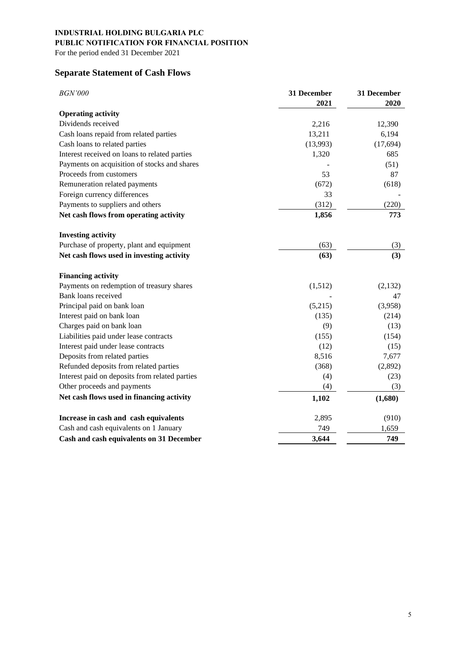For the period ended 31 December 2021

# **Separate Statement of Cash Flows**

| <b>BGN'000</b>                                 | 31 December<br>2021 | 31 December<br>2020 |
|------------------------------------------------|---------------------|---------------------|
| <b>Operating activity</b>                      |                     |                     |
| Dividends received                             | 2,216               | 12,390              |
| Cash loans repaid from related parties         | 13,211              | 6,194               |
| Cash loans to related parties                  | (13,993)            | (17, 694)           |
| Interest received on loans to related parties  | 1,320               | 685                 |
| Payments on acquisition of stocks and shares   |                     | (51)                |
| Proceeds from customers                        | 53                  | 87                  |
| Remuneration related payments                  | (672)               | (618)               |
| Foreign currency differences                   | 33                  |                     |
| Payments to suppliers and others               | (312)               | (220)               |
| Net cash flows from operating activity         | 1,856               | 773                 |
| <b>Investing activity</b>                      |                     |                     |
| Purchase of property, plant and equipment      | (63)                | (3)                 |
| Net cash flows used in investing activity      | (63)                | (3)                 |
| <b>Financing activity</b>                      |                     |                     |
| Payments on redemption of treasury shares      | (1,512)             | (2, 132)            |
| Bank loans received                            |                     | 47                  |
| Principal paid on bank loan                    | (5,215)             | (3,958)             |
| Interest paid on bank loan                     | (135)               | (214)               |
| Charges paid on bank loan                      | (9)                 | (13)                |
| Liabilities paid under lease contracts         | (155)               | (154)               |
| Interest paid under lease contracts            | (12)                | (15)                |
| Deposits from related parties                  | 8,516               | 7,677               |
| Refunded deposits from related parties         | (368)               | (2,892)             |
| Interest paid on deposits from related parties | (4)                 | (23)                |
| Other proceeds and payments                    | (4)                 | (3)                 |
| Net cash flows used in financing activity      | 1,102               | (1,680)             |
| Increase in cash and cash equivalents          | 2,895               | (910)               |
| Cash and cash equivalents on 1 January         | 749                 | 1,659               |
| Cash and cash equivalents on 31 December       | 3,644               | 749                 |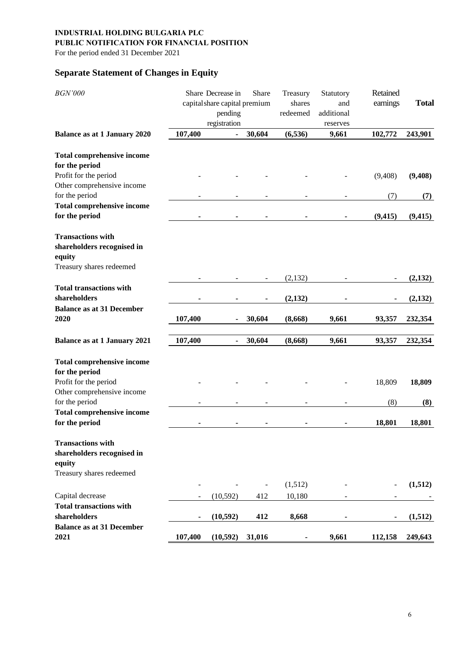## **PUBLIC NOTIFICATION FOR FINANCIAL POSITION**

For the period ended 31 December 2021

# **Separate Statement of Changes in Equity**

| <b>BGN'000</b>                      |                          | Share Decrease in<br>capital share capital premium<br>pending<br>registration | Share                    | Treasury<br>shares<br>redeemed | Statutory<br>and<br>additional<br>reserves | Retained<br>earnings | <b>Total</b> |
|-------------------------------------|--------------------------|-------------------------------------------------------------------------------|--------------------------|--------------------------------|--------------------------------------------|----------------------|--------------|
| <b>Balance as at 1 January 2020</b> | 107,400                  |                                                                               | 30,604                   | (6, 536)                       | 9,661                                      | 102,772              | 243,901      |
| <b>Total comprehensive income</b>   |                          |                                                                               |                          |                                |                                            |                      |              |
| for the period                      |                          |                                                                               |                          |                                |                                            |                      |              |
| Profit for the period               |                          |                                                                               |                          |                                |                                            | (9, 408)             | (9, 408)     |
| Other comprehensive income          |                          |                                                                               |                          |                                |                                            |                      |              |
| for the period                      |                          |                                                                               |                          |                                |                                            | (7)                  | (7)          |
| <b>Total comprehensive income</b>   |                          |                                                                               |                          |                                |                                            |                      |              |
| for the period                      | ٠                        |                                                                               |                          | ۰                              |                                            | (9, 415)             | (9, 415)     |
| <b>Transactions with</b>            |                          |                                                                               |                          |                                |                                            |                      |              |
| shareholders recognised in          |                          |                                                                               |                          |                                |                                            |                      |              |
| equity                              |                          |                                                                               |                          |                                |                                            |                      |              |
| Treasury shares redeemed            |                          |                                                                               |                          |                                |                                            |                      |              |
|                                     |                          |                                                                               | $\overline{\phantom{a}}$ | (2, 132)                       |                                            |                      | (2,132)      |
| <b>Total transactions with</b>      |                          |                                                                               |                          |                                |                                            |                      |              |
| shareholders                        |                          |                                                                               |                          | (2, 132)                       |                                            |                      | (2,132)      |
| <b>Balance as at 31 December</b>    |                          |                                                                               |                          |                                |                                            |                      |              |
| 2020                                | 107,400                  |                                                                               | 30,604                   | (8,668)                        | 9,661                                      | 93,357               | 232,354      |
| <b>Balance as at 1 January 2021</b> | 107,400                  |                                                                               | 30,604                   | (8,668)                        | 9,661                                      | 93,357               | 232,354      |
| <b>Total comprehensive income</b>   |                          |                                                                               |                          |                                |                                            |                      |              |
| for the period                      |                          |                                                                               |                          |                                |                                            |                      |              |
| Profit for the period               |                          |                                                                               |                          |                                |                                            | 18,809               | 18,809       |
| Other comprehensive income          |                          |                                                                               |                          |                                |                                            |                      |              |
| for the period                      |                          |                                                                               |                          |                                |                                            | (8)                  | (8)          |
| <b>Total comprehensive income</b>   |                          |                                                                               |                          |                                |                                            |                      |              |
| for the period                      | ۰                        |                                                                               |                          |                                |                                            | 18,801               | 18,801       |
| <b>Transactions with</b>            |                          |                                                                               |                          |                                |                                            |                      |              |
| shareholders recognised in          |                          |                                                                               |                          |                                |                                            |                      |              |
| equity                              |                          |                                                                               |                          |                                |                                            |                      |              |
| Treasury shares redeemed            |                          |                                                                               |                          |                                |                                            |                      |              |
|                                     |                          |                                                                               |                          | (1,512)                        |                                            |                      | (1,512)      |
| Capital decrease                    | $\overline{\phantom{0}}$ | (10,592)                                                                      | 412                      | 10,180                         |                                            |                      |              |
| <b>Total transactions with</b>      |                          |                                                                               |                          |                                |                                            |                      |              |
| shareholders                        | ۰                        | (10, 592)                                                                     | 412                      | 8,668                          |                                            |                      | (1,512)      |
| <b>Balance as at 31 December</b>    |                          |                                                                               |                          |                                |                                            |                      |              |
| 2021                                | 107,400                  | (10, 592)                                                                     | 31,016                   | $\qquad \qquad \blacksquare$   | 9,661                                      | 112,158              | 249,643      |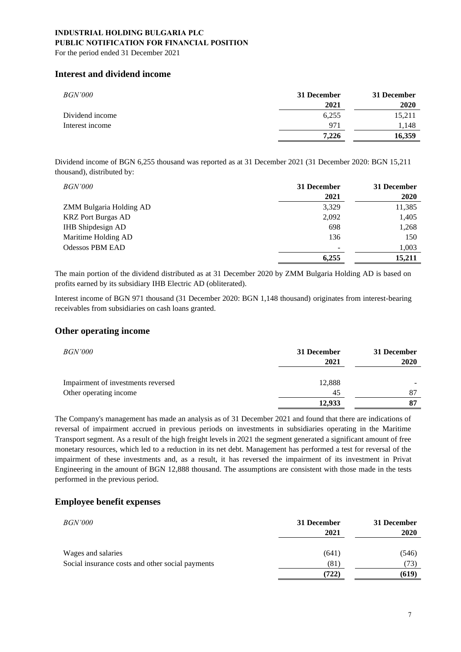For the period ended 31 December 2021

## **Interest and dividend income**

| <i>BGN'000</i>  | 31 December | 31 December |
|-----------------|-------------|-------------|
|                 | 2021        | 2020        |
| Dividend income | 6,255       | 15,211      |
| Interest income | 971         | 1.148       |
|                 | 7.226       | 16.359      |

Dividend income of BGN 6,255 thousand was reported as at 31 December 2021 (31 December 2020: BGN 15,211 thousand), distributed by:

| <i>BGN'000</i>            | 31 December | 31 December |
|---------------------------|-------------|-------------|
|                           | 2021        | 2020        |
| ZMM Bulgaria Holding AD   | 3,329       | 11,385      |
| <b>KRZ</b> Port Burgas AD | 2,092       | 1,405       |
| <b>IHB</b> Shipdesign AD  | 698         | 1,268       |
| Maritime Holding AD       | 136         | 150         |
| <b>Odessos PBM EAD</b>    |             | 1,003       |
|                           | 6,255       | 15,211      |

The main portion of the dividend distributed as at 31 December 2020 by ZMM Bulgaria Holding AD is based on profits earned by its subsidiary IHB Electric AD (obliterated).

Interest income of BGN 971 thousand (31 December 2020: BGN 1,148 thousand) originates from interest-bearing receivables from subsidiaries on cash loans granted.

## **Other operating income**

| <i>BGN'000</i>                     | 31 December<br>2021 | 31 December<br>2020 |
|------------------------------------|---------------------|---------------------|
| Impairment of investments reversed | 12,888              |                     |
| Other operating income             | 45                  | 87                  |
|                                    | 12,933              | 87                  |

The Company's management has made an analysis as of 31 December 2021 and found that there are indications of reversal of impairment accrued in previous periods on investments in subsidiaries operating in the Maritime Transport segment. As a result of the high freight levels in 2021 the segment generated a significant amount of free monetary resources, which led to a reduction in its net debt. Management has performed a test for reversal of the impairment of these investments and, as a result, it has reversed the impairment of its investment in Privat Engineering in the amount of BGN 12,888 thousand. The assumptions are consistent with those made in the tests performed in the previous period.

## **Employee benefit expenses**

| <i>BGN'000</i>                                   | 31 December | 31 December |
|--------------------------------------------------|-------------|-------------|
|                                                  | 2021        | 2020        |
|                                                  |             |             |
| Wages and salaries                               | (641)       | (546)       |
| Social insurance costs and other social payments | (81)        | (73)        |
|                                                  | (722)       | (619)       |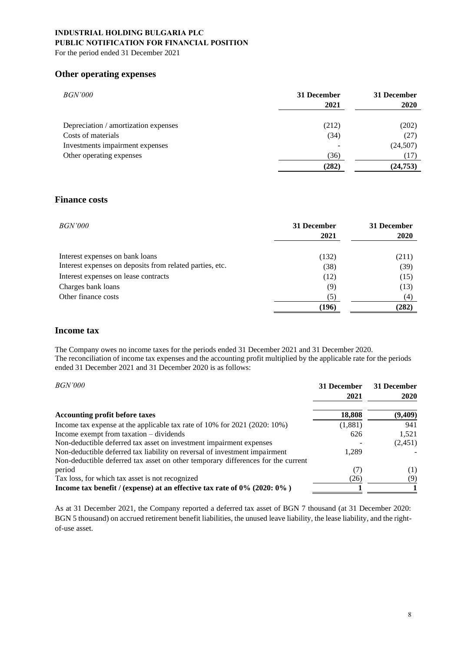For the period ended 31 December 2021

## **Other operating expenses**

| <i>BGN'000</i>                       | 31 December<br>2021 | 31 December<br>2020 |
|--------------------------------------|---------------------|---------------------|
| Depreciation / amortization expenses | (212)               | (202)               |
| Costs of materials                   | (34)                | (27)                |
| Investments impairment expenses      |                     | (24, 507)           |
| Other operating expenses             | (36)                | (17)                |
|                                      | (282)               | (24, 753)           |

## **Finance costs**

| <i>BGN'000</i>                                           | 31 December<br>2021 | 31 December<br><b>2020</b> |
|----------------------------------------------------------|---------------------|----------------------------|
| Interest expenses on bank loans                          | (132)               | (211)                      |
| Interest expenses on deposits from related parties, etc. | (38)                | (39)                       |
| Interest expenses on lease contracts                     | (12)                | (15)                       |
| Charges bank loans                                       | (9)                 | (13)                       |
| Other finance costs                                      | (5)                 | (4)                        |
|                                                          | (196)               | (282)                      |

## **Income tax**

The Company owes no income taxes for the periods ended 31 December 2021 and 31 December 2020. The reconciliation of income tax expenses and the accounting profit multiplied by the applicable rate for the periods ended 31 December 2021 and 31 December 2020 is as follows:

| <i>BGN'000</i>                                                                   | 31 December<br>2021 | 31 December<br>2020 |
|----------------------------------------------------------------------------------|---------------------|---------------------|
| <b>Accounting profit before taxes</b>                                            | 18,808              | (9,409)             |
| Income tax expense at the applicable tax rate of 10% for 2021 (2020: 10%)        | (1,881)             | 941                 |
| Income exempt from taxation – dividends                                          | 626                 | 1,521               |
| Non-deductible deferred tax asset on investment impairment expenses              |                     | (2,451)             |
| Non-deductible deferred tax liability on reversal of investment impairment       | 1,289               |                     |
| Non-deductible deferred tax asset on other temporary differences for the current |                     |                     |
| period                                                                           | (7)                 | (1)                 |
| Tax loss, for which tax asset is not recognized                                  | (26)                | (9)                 |
| Income tax benefit / (expense) at an effective tax rate of $0\%$ (2020: $0\%$ )  |                     |                     |

As at 31 December 2021, the Company reported a deferred tax asset of BGN 7 thousand (at 31 December 2020: BGN 5 thousand) on accrued retirement benefit liabilities, the unused leave liability, the lease liability, and the rightof-use asset.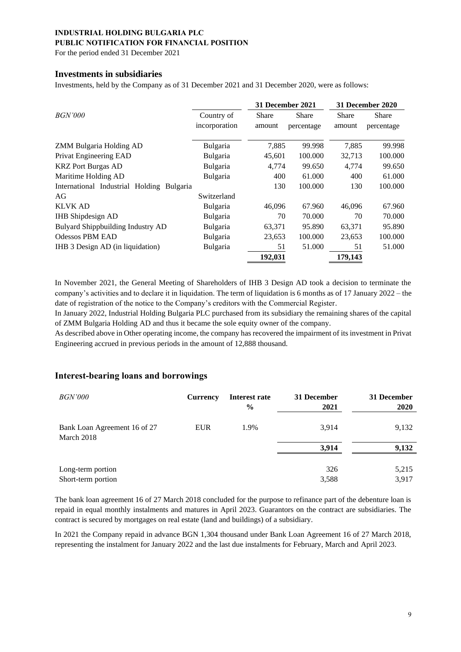### **PUBLIC NOTIFICATION FOR FINANCIAL POSITION**

For the period ended 31 December 2021

### **Investments in subsidiaries**

Investments, held by the Company as of 31 December 2021 and 31 December 2020, were as follows:

|                                           |                             | 31 December 2021 |                     |                        | 31 December 2020    |
|-------------------------------------------|-----------------------------|------------------|---------------------|------------------------|---------------------|
| <i>BGN'000</i>                            | Country of<br>incorporation | Share<br>amount  | Share<br>percentage | <b>Share</b><br>amount | Share<br>percentage |
| ZMM Bulgaria Holding AD                   | Bulgaria                    | 7,885            | 99.998              | 7,885                  | 99.998              |
| Privat Engineering EAD                    | Bulgaria                    | 45,601           | 100.000             | 32,713                 | 100.000             |
| <b>KRZ</b> Port Burgas AD                 | Bulgaria                    | 4,774            | 99.650              | 4,774                  | 99.650              |
| Maritime Holding AD                       | <b>Bulgaria</b>             | 400              | 61.000              | 400                    | 61.000              |
| International Industrial Holding Bulgaria |                             | 130              | 100.000             | 130                    | 100.000             |
| AG                                        | Switzerland                 |                  |                     |                        |                     |
| <b>KLVK AD</b>                            | Bulgaria                    | 46,096           | 67.960              | 46,096                 | 67.960              |
| <b>IHB</b> Shipdesign AD                  | Bulgaria                    | 70               | 70.000              | 70                     | 70.000              |
| Bulyard Shippbuilding Industry AD         | Bulgaria                    | 63,371           | 95.890              | 63,371                 | 95.890              |
| <b>Odessos PBM EAD</b>                    | Bulgaria                    | 23,653           | 100.000             | 23,653                 | 100.000             |
| IHB 3 Design AD (in liquidation)          | Bulgaria                    | 51               | 51.000              | 51                     | 51.000              |
|                                           |                             | 192,031          |                     | 179,143                |                     |

In November 2021, the General Meeting of Shareholders of IHB 3 Design AD took a decision to terminate the company's activities and to declare it in liquidation. The term of liquidation is 6 months as of 17 January 2022 – the date of registration of the notice to the Company's creditors with the Commercial Register.

In January 2022, Industrial Holding Bulgaria PLC purchased from its subsidiary the remaining shares of the capital of ZMM Bulgaria Holding AD and thus it became the sole equity owner of the company.

As described above in Other operating income, the company has recovered the impairment of its investment in Privat Engineering accrued in previous periods in the amount of 12,888 thousand.

## **Interest-bearing loans and borrowings**

| <i>BGN'000</i>                             | <b>Currency</b> | Interest rate<br>$\frac{6}{9}$ | 31 December<br>2021 | 31 December<br>2020 |
|--------------------------------------------|-----------------|--------------------------------|---------------------|---------------------|
| Bank Loan Agreement 16 of 27<br>March 2018 | <b>EUR</b>      | 1.9%                           | 3,914               | 9,132               |
|                                            |                 |                                | 3,914               | 9,132               |
| Long-term portion                          |                 |                                | 326                 | 5,215               |
| Short-term portion                         |                 |                                | 3,588               | 3,917               |

The bank loan agreement 16 of 27 March 2018 concluded for the purpose to refinance part of the debenture loan is repaid in equal monthly instalments and matures in April 2023. Guarantors on the contract are subsidiaries. The contract is secured by mortgages on real estate (land and buildings) of a subsidiary.

In 2021 the Company repaid in advance BGN 1,304 thousand under Bank Loan Agreement 16 of 27 March 2018, representing the instalment for January 2022 and the last due instalments for February, March and April 2023.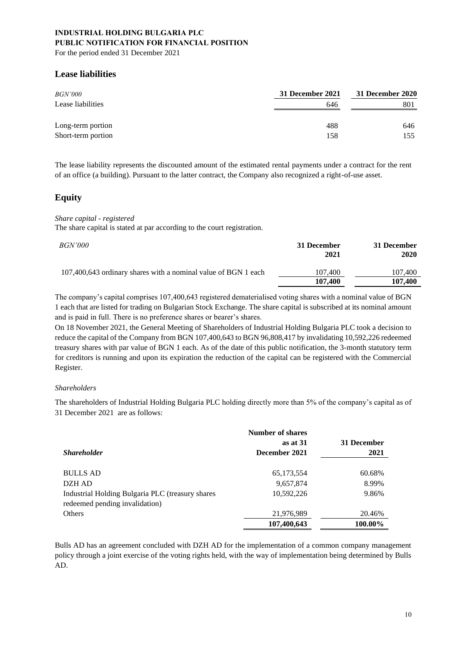For the period ended 31 December 2021

## **Lease liabilities**

| <i>BGN'000</i>                          | 31 December 2021 | 31 December 2020 |
|-----------------------------------------|------------------|------------------|
| Lease liabilities                       | 646              | 801              |
| Long-term portion<br>Short-term portion | 488<br>158       | 646<br>155       |

The lease liability represents the discounted amount of the estimated rental payments under a contract for the rent of an office (a building). Pursuant to the latter contract, the Company also recognized a right-of-use asset.

## **Equity**

### *Share capital - registered*

The share capital is stated at par according to the court registration.

| <i>BGN'000</i>                                                 | 31 December<br>2021 | 31 December<br>2020 |
|----------------------------------------------------------------|---------------------|---------------------|
| 107,400,643 ordinary shares with a nominal value of BGN 1 each | 107.400             | 107,400             |
|                                                                | 107,400             | 107,400             |

The company's capital comprises 107,400,643 registered dematerialised voting shares with a nominal value of BGN 1 each that are listed for trading on Bulgarian Stock Exchange. The share capital is subscribed at its nominal amount and is paid in full. There is no preference shares or bearer's shares.

On 18 November 2021, the General Meeting of Shareholders of Industrial Holding Bulgaria PLC took a decision to reduce the capital of the Company from BGN 107,400,643 to BGN 96,808,417 by invalidating 10,592,226 redeemed treasury shares with par value of BGN 1 each. As of the date of this public notification, the 3-month statutory term for creditors is running and upon its expiration the reduction of the capital can be registered with the Commercial Register.

### *Shareholders*

The shareholders of Industrial Holding Bulgaria PLC holding directly more than 5% of the company's capital as of 31 December 2021 are as follows:

|                                                  | <b>Number of shares</b> |             |
|--------------------------------------------------|-------------------------|-------------|
|                                                  | as at 31                | 31 December |
| <b>Shareholder</b>                               | December 2021           | 2021        |
|                                                  |                         |             |
| <b>BULLS AD</b>                                  | 65,173,554              | 60.68%      |
| DZH AD                                           | 9,657,874               | 8.99%       |
| Industrial Holding Bulgaria PLC (treasury shares | 10,592,226              | 9.86%       |
| redeemed pending invalidation)                   |                         |             |
| Others                                           | 21,976,989              | 20.46%      |
|                                                  | 107,400,643             | 100.00%     |

Bulls AD has an agreement concluded with DZH AD for the implementation of a common company management policy through a joint exercise of the voting rights held, with the way of implementation being determined by Bulls AD.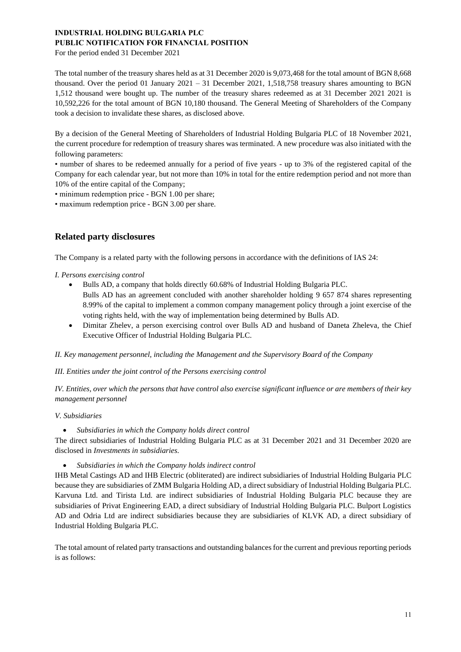For the period ended 31 December 2021

The total number of the treasury shares held as at 31 December 2020 is 9,073,468 for the total amount of BGN 8,668 thousand. Over the period 01 January 2021 – 31 December 2021, 1,518,758 treasury shares amounting to BGN 1,512 thousand were bought up. The number of the treasury shares redeemed as at 31 December 2021 2021 is 10,592,226 for the total amount of BGN 10,180 thousand. The General Meeting of Shareholders of the Company took a decision to invalidate these shares, as disclosed above.

By a decision of the General Meeting of Shareholders of Industrial Holding Bulgaria PLC of 18 November 2021, the current procedure for redemption of treasury shares was terminated. A new procedure was also initiated with the following parameters:

• number of shares to be redeemed annually for a period of five years - up to 3% of the registered capital of the Company for each calendar year, but not more than 10% in total for the entire redemption period and not more than 10% of the entire capital of the Company;

• minimum redemption price - BGN 1.00 per share;

• maximum redemption price - BGN 3.00 per share.

## **Related party disclosures**

The Company is a related party with the following persons in accordance with the definitions of IAS 24:

### *I. Persons exercising control*

- Bulls AD, a company that holds directly 60.68% of Industrial Holding Bulgaria PLC. Bulls AD has an agreement concluded with another shareholder holding 9 657 874 shares representing 8.99% of the capital to implement a common company management policy through a joint exercise of the voting rights held, with the way of implementation being determined by Bulls AD.
- Dimitar Zhelev, a person exercising control over Bulls AD and husband of Daneta Zheleva, the Chief Executive Officer of Industrial Holding Bulgaria PLC.

*II. Key management personnel, including the Management and the Supervisory Board of the Company*

### *III. Entities under the joint control of the Persons exercising control*

*IV. Entities, over which the persons that have control also exercise significant influence or are members of their key management personnel*

### *V. Subsidiaries*

• *Subsidiaries in which the Company holds direct control*

The direct subsidiaries of Industrial Holding Bulgaria PLC as at 31 December 2021 and 31 December 2020 are disclosed in *Investments in subsidiaries.*

• *Subsidiaries in which the Company holds indirect control*

IHB Metal Castings AD and IHB Electric (obliterated) are indirect subsidiaries of Industrial Holding Bulgaria PLC because they are subsidiaries of ZMM Bulgaria Holding AD, a direct subsidiary of Industrial Holding Bulgaria PLC. Karvuna Ltd. and Tirista Ltd. are indirect subsidiaries of Industrial Holding Bulgaria PLC because they are subsidiaries of Privat Engineering EAD, a direct subsidiary of Industrial Holding Bulgaria PLC. Bulport Logistics AD and Odria Ltd are indirect subsidiaries because they are subsidiaries of KLVK AD, a direct subsidiary of Industrial Holding Bulgaria PLC.

The total amount of related party transactions and outstanding balances for the current and previous reporting periods is as follows: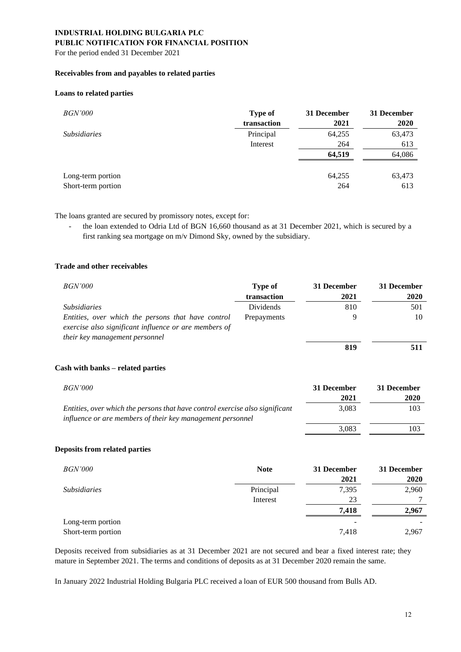## **PUBLIC NOTIFICATION FOR FINANCIAL POSITION**

For the period ended 31 December 2021

### **Receivables from and payables to related parties**

#### **Loans to related parties**

| <i>BGN'000</i>                          | <b>Type of</b><br>transaction | 31 December<br>2021 | 31 December<br><b>2020</b> |
|-----------------------------------------|-------------------------------|---------------------|----------------------------|
| <i>Subsidiaries</i>                     | Principal                     | 64,255              | 63,473                     |
|                                         | Interest                      | 264                 | 613                        |
|                                         |                               | 64,519              | 64,086                     |
| Long-term portion<br>Short-term portion |                               | 64,255<br>264       | 63,473<br>613              |

The loans granted are secured by promissory notes, except for:

the loan extended to Odria Ltd of BGN 16,660 thousand as at 31 December 2021, which is secured by a first ranking sea mortgage on m/v Dimond Sky, owned by the subsidiary.

### **Trade and other receivables**

| <i>BGN'000</i>                                                                                                                                | Type of<br>transaction | 31 December<br>2021 | 31 December<br>2020 |
|-----------------------------------------------------------------------------------------------------------------------------------------------|------------------------|---------------------|---------------------|
| <i>Subsidiaries</i>                                                                                                                           | Dividends              | 810                 | 501                 |
| Entities, over which the persons that have control<br>exercise also significant influence or are members of<br>their key management personnel | Prepayments            |                     | 10                  |
|                                                                                                                                               |                        | 819                 | 511                 |

#### **Cash with banks – related parties**

| <i>BGN'000</i>                                                                                                                             | 31 December | 31 December |
|--------------------------------------------------------------------------------------------------------------------------------------------|-------------|-------------|
|                                                                                                                                            | 2021        | 2020        |
| Entities, over which the persons that have control exercise also significant<br>influence or are members of their key management personnel | 3.083       | 103         |
|                                                                                                                                            | 3.083       | 103         |

#### **Deposits from related parties**

| <i>BGN'000</i>      | <b>Note</b> | 31 December | 31 December |
|---------------------|-------------|-------------|-------------|
|                     |             | 2021        | 2020        |
| <i>Subsidiaries</i> | Principal   | 7,395       | 2,960       |
|                     | Interest    | 23          |             |
|                     |             | 7,418       | 2,967       |
| Long-term portion   |             | -           |             |
| Short-term portion  |             | 7,418       | 2,967       |

Deposits received from subsidiaries as at 31 December 2021 are not secured and bear a fixed interest rate; they mature in September 2021. The terms and conditions of deposits as at 31 December 2020 remain the same.

In January 2022 Industrial Holding Bulgaria PLC received a loan of EUR 500 thousand from Bulls AD.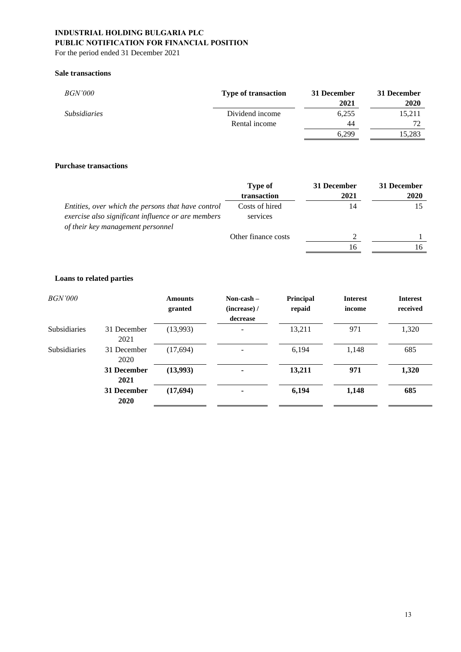For the period ended 31 December 2021

### **Sale transactions**

| <i>BGN'000</i>      | <b>Type of transaction</b> | 31 December<br>2021 | 31 December<br>2020 |
|---------------------|----------------------------|---------------------|---------------------|
| <i>Subsidiaries</i> | Dividend income            | 6,255               | 15,211              |
|                     | Rental income              | 44                  | 72                  |
|                     |                            | 6.299               | 15,283              |

### **Purchase transactions**

|                                                                                                                                               | Type of<br>transaction     | 31 December<br>2021 | 31 December<br>2020 |
|-----------------------------------------------------------------------------------------------------------------------------------------------|----------------------------|---------------------|---------------------|
| Entities, over which the persons that have control<br>exercise also significant influence or are members<br>of their key management personnel | Costs of hired<br>services | 14                  |                     |
|                                                                                                                                               | Other finance costs        |                     |                     |
|                                                                                                                                               |                            | 16                  |                     |

## **Loans to related parties**

| <i>BGN'000</i>      |                            | <b>Amounts</b><br>granted | Non-cash $-$<br>(increase) /<br>decrease | Principal<br>repaid | <b>Interest</b><br>income | <b>Interest</b><br>received |
|---------------------|----------------------------|---------------------------|------------------------------------------|---------------------|---------------------------|-----------------------------|
| <b>Subsidiaries</b> | 31 December<br>2021        | (13,993)                  | -                                        | 13,211              | 971                       | 1,320                       |
| <b>Subsidiaries</b> | 31 December<br>2020        | (17,694)                  |                                          | 6,194               | 1,148                     | 685                         |
|                     | 31 December<br>2021        | (13,993)                  |                                          | 13,211              | 971                       | 1,320                       |
|                     | 31 December<br><b>2020</b> | (17,694)                  |                                          | 6,194               | 1,148                     | 685                         |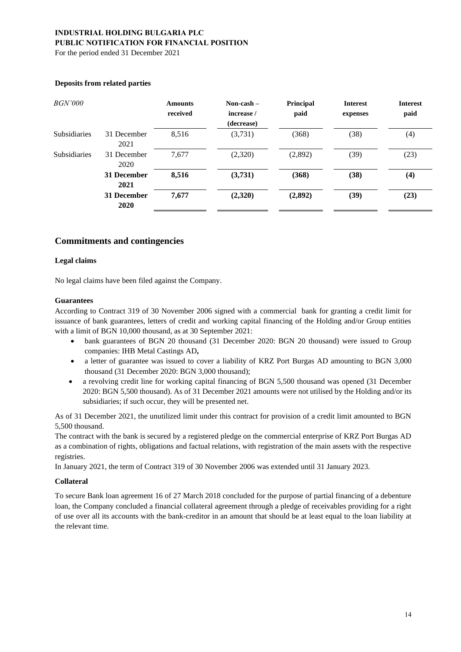For the period ended 31 December 2021

| <i>BGN'000</i>      |                     | <b>Amounts</b><br>received | Non-cash $-$<br>increase /<br>(decrease) | Principal<br>paid | <b>Interest</b><br>expenses | <b>Interest</b><br>paid |
|---------------------|---------------------|----------------------------|------------------------------------------|-------------------|-----------------------------|-------------------------|
| <b>Subsidiaries</b> | 31 December<br>2021 | 8,516                      | (3,731)                                  | (368)             | (38)                        | (4)                     |
| <b>Subsidiaries</b> | 31 December<br>2020 | 7,677                      | (2,320)                                  | (2,892)           | (39)                        | (23)                    |
|                     | 31 December<br>2021 | 8,516                      | (3,731)                                  | (368)             | (38)                        | (4)                     |
|                     | 31 December<br>2020 | 7,677                      | (2,320)                                  | (2,892)           | (39)                        | (23)                    |

#### **Deposits from related parties**

## **Commitments and contingencies**

#### **Legal claims**

No legal claims have been filed against the Company.

#### **Guarantees**

According to Contract 319 of 30 November 2006 signed with a commercial bank for granting a credit limit for issuance of bank guarantees, letters of credit and working capital financing of the Holding and/or Group entities with a limit of BGN 10,000 thousand, as at 30 September 2021:

- bank guarantees of BGN 20 thousand (31 December 2020: BGN 20 thousand) were issued to Group companies: IHB Metal Castings AD**,**
- a letter of guarantee was issued to cover a liability of KRZ Port Burgas AD amounting to BGN 3,000 thousand (31 December 2020: BGN 3,000 thousand);
- a revolving credit line for working capital financing of BGN 5,500 thousand was opened (31 December 2020: BGN 5,500 thousand). As of 31 December 2021 amounts were not utilised by the Holding and/or its subsidiaries; if such occur, they will be presented net.

As of 31 December 2021, the unutilized limit under this contract for provision of a credit limit amounted to BGN 5,500 thousand.

The contract with the bank is secured by a registered pledge on the commercial enterprise of KRZ Port Burgas AD as a combination of rights, obligations and factual relations, with registration of the main assets with the respective registries.

In January 2021, the term of Contract 319 of 30 November 2006 was extended until 31 January 2023.

#### **Collateral**

To secure Bank loan agreement 16 of 27 March 2018 concluded for the purpose of partial financing of a debenture loan, the Company concluded a financial collateral agreement through a pledge of receivables providing for a right of use over all its accounts with the bank-creditor in an amount that should be at least equal to the loan liability at the relevant time.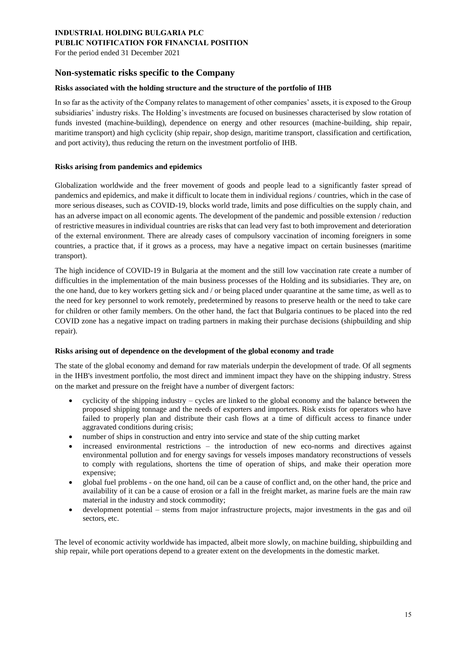### **PUBLIC NOTIFICATION FOR FINANCIAL POSITION**

For the period ended 31 December 2021

## **Non-systematic risks specific to the Company**

#### **Risks associated with the holding structure and the structure of the portfolio of IHB**

In so far as the activity of the Company relates to management of other companies' assets, it is exposed to the Group subsidiaries' industry risks. The Holding's investments are focused on businesses characterised by slow rotation of funds invested (machine-building), dependence on energy and other resources (machine-building, ship repair, maritime transport) and high cyclicity (ship repair, shop design, maritime transport, classification and certification, and port activity), thus reducing the return on the investment portfolio of IHB.

#### **Risks arising from pandemics and epidemics**

Globalization worldwide and the freer movement of goods and people lead to a significantly faster spread of pandemics and epidemics, and make it difficult to locate them in individual regions / countries, which in the case of more serious diseases, such as COVID-19, blocks world trade, limits and pose difficulties on the supply chain, and has an adverse impact on all economic agents. The development of the pandemic and possible extension / reduction of restrictive measures in individual countries are risks that can lead very fast to both improvement and deterioration of the external environment. There are already cases of compulsory vaccination of incoming foreigners in some countries, a practice that, if it grows as a process, may have a negative impact on certain businesses (maritime transport).

The high incidence of COVID-19 in Bulgaria at the moment and the still low vaccination rate create a number of difficulties in the implementation of the main business processes of the Holding and its subsidiaries. They are, on the one hand, due to key workers getting sick and / or being placed under quarantine at the same time, as well as to the need for key personnel to work remotely, predetermined by reasons to preserve health or the need to take care for children or other family members. On the other hand, the fact that Bulgaria continues to be placed into the red COVID zone has a negative impact on trading partners in making their purchase decisions (shipbuilding and ship repair).

#### **Risks arising out of dependence on the development of the global economy and trade**

The state of the global economy and demand for raw materials underpin the development of trade. Of all segments in the IHB's investment portfolio, the most direct and imminent impact they have on the shipping industry. Stress on the market and pressure on the freight have a number of divergent factors:

- cyclicity of the shipping industry cycles are linked to the global economy and the balance between the proposed shipping tonnage and the needs of exporters and importers. Risk exists for operators who have failed to properly plan and distribute their cash flows at a time of difficult access to finance under aggravated conditions during crisis;
- number of ships in construction and entry into service and state of the ship cutting market
- increased environmental restrictions the introduction of new eco-norms and directives against environmental pollution and for energy savings for vessels imposes mandatory reconstructions of vessels to comply with regulations, shortens the time of operation of ships, and make their operation more expensive;
- global fuel problems on the one hand, oil can be a cause of conflict and, on the other hand, the price and availability of it can be a cause of erosion or a fall in the freight market, as marine fuels are the main raw material in the industry and stock commodity;
- development potential stems from major infrastructure projects, major investments in the gas and oil sectors, etc.

The level of economic activity worldwide has impacted, albeit more slowly, on machine building, shipbuilding and ship repair, while port operations depend to a greater extent on the developments in the domestic market.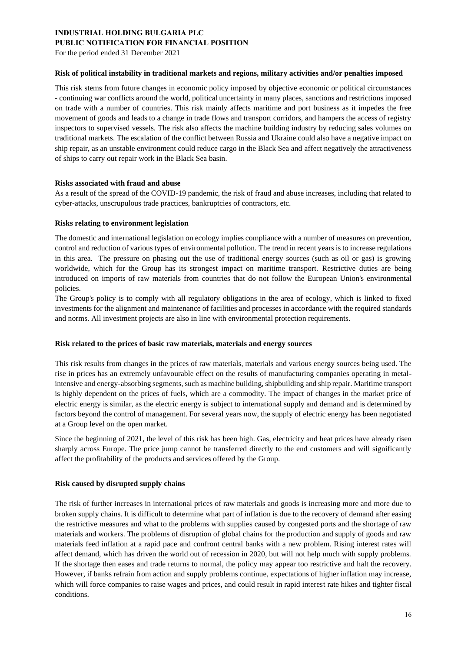For the period ended 31 December 2021

#### **Risk of political instability in traditional markets and regions, military activities and/or penalties imposed**

This risk stems from future changes in economic policy imposed by objective economic or political circumstances - continuing war conflicts around the world, political uncertainty in many places, sanctions and restrictions imposed on trade with a number of countries. This risk mainly affects maritime and port business as it impedes the free movement of goods and leads to a change in trade flows and transport corridors, and hampers the access of registry inspectors to supervised vessels. The risk also affects the machine building industry by reducing sales volumes on traditional markets. The escalation of the conflict between Russia and Ukraine could also have a negative impact on ship repair, as an unstable environment could reduce cargo in the Black Sea and affect negatively the attractiveness of ships to carry out repair work in the Black Sea basin.

#### **Risks associated with fraud and abuse**

As a result of the spread of the COVID-19 pandemic, the risk of fraud and abuse increases, including that related to cyber-attacks, unscrupulous trade practices, bankruptcies of contractors, etc.

#### **Risks relating to environment legislation**

The domestic and international legislation on ecology implies compliance with a number of measures on prevention, control and reduction of various types of environmental pollution. The trend in recent years is to increase regulations in this area. The pressure on phasing out the use of traditional energy sources (such as oil or gas) is growing worldwide, which for the Group has its strongest impact on maritime transport. Restrictive duties are being introduced on imports of raw materials from countries that do not follow the European Union's environmental policies.

The Group's policy is to comply with all regulatory obligations in the area of ecology, which is linked to fixed investments for the alignment and maintenance of facilities and processes in accordance with the required standards and norms. All investment projects are also in line with environmental protection requirements.

#### **Risk related to the prices of basic raw materials, materials and energy sources**

This risk results from changes in the prices of raw materials, materials and various energy sources being used. The rise in prices has an extremely unfavourable effect on the results of manufacturing companies operating in metalintensive and energy-absorbing segments, such as machine building, shipbuilding and ship repair. Maritime transport is highly dependent on the prices of fuels, which are a commodity. The impact of changes in the market price of electric energy is similar, as the electric energy is subject to international supply and demand and is determined by factors beyond the control of management. For several years now, the supply of electric energy has been negotiated at a Group level on the open market.

Since the beginning of 2021, the level of this risk has been high. Gas, electricity and heat prices have already risen sharply across Europe. The price jump cannot be transferred directly to the end customers and will significantly affect the profitability of the products and services offered by the Group.

### **Risk caused by disrupted supply chains**

The risk of further increases in international prices of raw materials and goods is increasing more and more due to broken supply chains. It is difficult to determine what part of inflation is due to the recovery of demand after easing the restrictive measures and what to the problems with supplies caused by congested ports and the shortage of raw materials and workers. The problems of disruption of global chains for the production and supply of goods and raw materials feed inflation at a rapid pace and confront central banks with a new problem. Rising interest rates will affect demand, which has driven the world out of recession in 2020, but will not help much with supply problems. If the shortage then eases and trade returns to normal, the policy may appear too restrictive and halt the recovery. However, if banks refrain from action and supply problems continue, expectations of higher inflation may increase, which will force companies to raise wages and prices, and could result in rapid interest rate hikes and tighter fiscal conditions.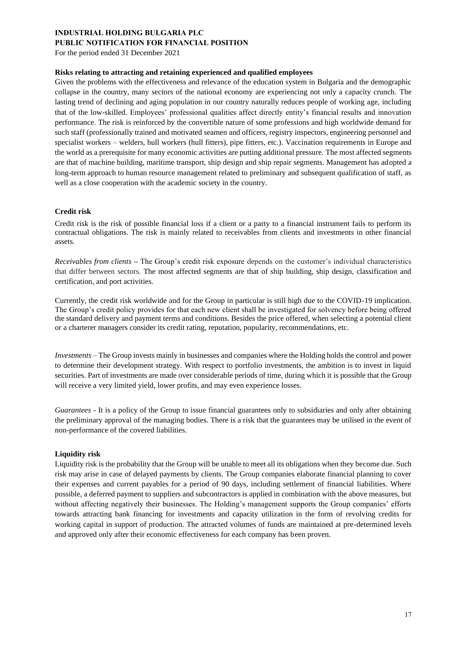#### **PUBLIC NOTIFICATION FOR FINANCIAL POSITION**

For the period ended 31 December 2021

#### **Risks relating to attracting and retaining experienced and qualified employees**

Given the problems with the effectiveness and relevance of the education system in Bulgaria and the demographic collapse in the country, many sectors of the national economy are experiencing not only a capacity crunch. The lasting trend of declining and aging population in our country naturally reduces people of working age, including that of the low-skilled. Employees' professional qualities affect directly entity's financial results and innovation performance. The risk is reinforced by the convertible nature of some professions and high worldwide demand for such staff (professionally trained and motivated seamen and officers, registry inspectors, engineering personnel and specialist workers – welders, hull workers (hull fitters), pipe fitters, etc.). Vaccination requirements in Europe and the world as a prerequisite for many economic activities are putting additional pressure. The most affected segments are that of machine building, maritime transport, ship design and ship repair segments. Management has adopted a long-term approach to human resource management related to preliminary and subsequent qualification of staff, as well as a close cooperation with the academic society in the country.

#### **Credit risk**

Credit risk is the risk of possible financial loss if a client or a party to a financial instrument fails to perform its contractual obligations. The risk is mainly related to receivables from clients and investments in other financial assets.

*Receivables from clients –* The Group's credit risk exposure depends on the customer's individual characteristics that differ between sectors. The most affected segments are that of ship building, ship design, classification and certification, and port activities.

Currently, the credit risk worldwide and for the Group in particular is still high due to the COVID-19 implication. The Group's credit policy provides for that each new client shall be investigated for solvency before being offered the standard delivery and payment terms and conditions. Besides the price offered, when selecting a potential client or a charterer managers consider its credit rating, reputation, popularity, recommendations, etc.

*Investments –* The Group invests mainly in businesses and companies where the Holding holds the control and power to determine their development strategy. With respect to portfolio investments, the ambition is to invest in liquid securities. Part of investments are made over considerable periods of time, during which it is possible that the Group will receive a very limited yield, lower profits, and may even experience losses.

*Guarantees* - It is a policy of the Group to issue financial guarantees only to subsidiaries and only after obtaining the preliminary approval of the managing bodies. There is a risk that the guarantees may be utilised in the event of non-performance of the covered liabilities.

#### **Liquidity risk**

Liquidity risk is the probability that the Group will be unable to meet all its obligations when they become due. Such risk may arise in case of delayed payments by clients. The Group companies elaborate financial planning to cover their expenses and current payables for a period of 90 days, including settlement of financial liabilities. Where possible, a deferred payment to suppliers and subcontractors is applied in combination with the above measures, but without affecting negatively their businesses. The Holding's management supports the Group companies' efforts towards attracting bank financing for investments and capacity utilization in the form of revolving credits for working capital in support of production. The attracted volumes of funds are maintained at pre-determined levels and approved only after their economic effectiveness for each company has been proven.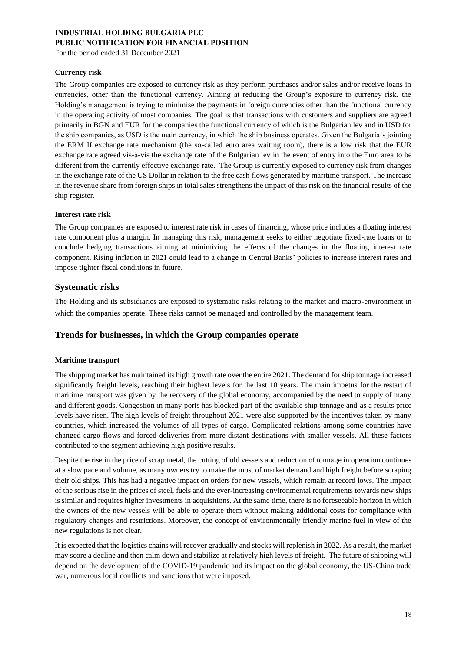For the period ended 31 December 2021

### **Currency risk**

The Group companies are exposed to currency risk as they perform purchases and/or sales and/or receive loans in currencies, other than the functional currency. Aiming at reducing the Group's exposure to currency risk, the Holding's management is trying to minimise the payments in foreign currencies other than the functional currency in the operating activity of most companies. The goal is that transactions with customers and suppliers are agreed primarily in BGN and EUR for the companies the functional currency of which is the Bulgarian lev and in USD for the ship companies, as USD is the main currency, in which the ship business operates. Given the Bulgaria's jointing the ERM II exchange rate mechanism (the so-called euro area waiting room), there is a low risk that the EUR exchange rate agreed vis-à-vis the exchange rate of the Bulgarian lev in the event of entry into the Euro area to be different from the currently effective exchange rate. The Group is currently exposed to currency risk from changes in the exchange rate of the US Dollar in relation to the free cash flows generated by maritime transport. The increase in the revenue share from foreign ships in total sales strengthens the impact of this risk on the financial results of the ship register.

#### **Interest rate risk**

The Group companies are exposed to interest rate risk in cases of financing, whose price includes a floating interest rate component plus a margin. In managing this risk, management seeks to either negotiate fixed-rate loans or to conclude hedging transactions aiming at minimizing the effects of the changes in the floating interest rate component. Rising inflation in 2021 could lead to a change in Central Banks' policies to increase interest rates and impose tighter fiscal conditions in future.

## **Systematic risks**

The Holding and its subsidiaries are exposed to systematic risks relating to the market and macro-environment in which the companies operate. These risks cannot be managed and controlled by the management team.

## **Trends for businesses, in which the Group companies operate**

### **Maritime transport**

The shipping market has maintained its high growth rate over the entire 2021. The demand for ship tonnage increased significantly freight levels, reaching their highest levels for the last 10 years. The main impetus for the restart of maritime transport was given by the recovery of the global economy, accompanied by the need to supply of many and different goods. Congestion in many ports has blocked part of the available ship tonnage and as a results price levels have risen. The high levels of freight throughout 2021 were also supported by the incentives taken by many countries, which increased the volumes of all types of cargo. Complicated relations among some countries have changed cargo flows and forced deliveries from more distant destinations with smaller vessels. All these factors contributed to the segment achieving high positive results.

Despite the rise in the price of scrap metal, the cutting of old vessels and reduction of tonnage in operation continues at a slow pace and volume, as many owners try to make the most of market demand and high freight before scraping their old ships. This has had a negative impact on orders for new vessels, which remain at record lows. The impact of the serious rise in the prices of steel, fuels and the ever-increasing environmental requirements towards new ships is similar and requires higher investments in acquisitions. At the same time, there is no foreseeable horizon in which the owners of the new vessels will be able to operate them without making additional costs for compliance with regulatory changes and restrictions. Moreover, the concept of environmentally friendly marine fuel in view of the new regulations is not clear.

It is expected that the logistics chains will recover gradually and stocks will replenish in 2022. As a result, the market may score a decline and then calm down and stabilize at relatively high levels of freight. The future of shipping will depend on the development of the COVID-19 pandemic and its impact on the global economy, the US-China trade war, numerous local conflicts and sanctions that were imposed.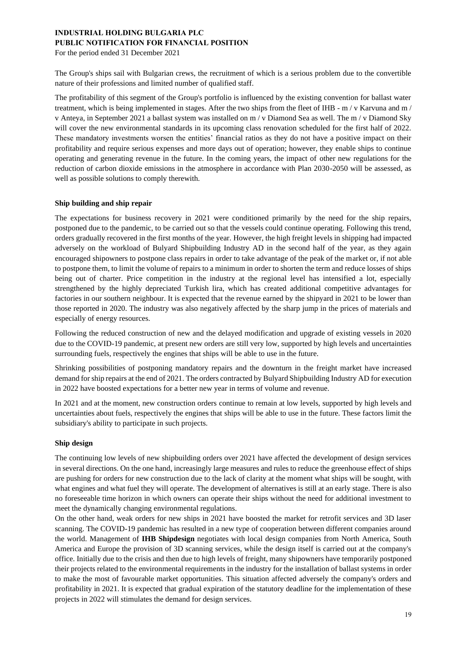For the period ended 31 December 2021

The Group's ships sail with Bulgarian crews, the recruitment of which is a serious problem due to the convertible nature of their professions and limited number of qualified staff.

The profitability of this segment of the Group's portfolio is influenced by the existing convention for ballast water treatment, which is being implemented in stages. After the two ships from the fleet of IHB - m / v Karvuna and m / v Anteya, in September 2021 a ballast system was installed on m / v Diamond Sea as well. The m / v Diamond Sky will cover the new environmental standards in its upcoming class renovation scheduled for the first half of 2022. These mandatory investments worsen the entities' financial ratios as they do not have a positive impact on their profitability and require serious expenses and more days out of operation; however, they enable ships to continue operating and generating revenue in the future. In the coming years, the impact of other new regulations for the reduction of carbon dioxide emissions in the atmosphere in accordance with Plan 2030-2050 will be assessed, as well as possible solutions to comply therewith.

#### **Ship building and ship repair**

The expectations for business recovery in 2021 were conditioned primarily by the need for the ship repairs, postponed due to the pandemic, to be carried out so that the vessels could continue operating. Following this trend, orders gradually recovered in the first months of the year. However, the high freight levels in shipping had impacted adversely on the workload of Bulyard Shipbuilding Industry AD in the second half of the year, as they again encouraged shipowners to postpone class repairs in order to take advantage of the peak of the market or, if not able to postpone them, to limit the volume of repairs to a minimum in order to shorten the term and reduce losses of ships being out of charter. Price competition in the industry at the regional level has intensified a lot, especially strengthened by the highly depreciated Turkish lira, which has created additional competitive advantages for factories in our southern neighbour. It is expected that the revenue earned by the shipyard in 2021 to be lower than those reported in 2020. The industry was also negatively affected by the sharp jump in the prices of materials and especially of energy resources.

Following the reduced construction of new and the delayed modification and upgrade of existing vessels in 2020 due to the COVID-19 pandemic, at present new orders are still very low, supported by high levels and uncertainties surrounding fuels, respectively the engines that ships will be able to use in the future.

Shrinking possibilities of postponing mandatory repairs and the downturn in the freight market have increased demand for ship repairs at the end of 2021. The orders contracted by Bulyard Shipbuilding Industry AD for execution in 2022 have boosted expectations for a better new year in terms of volume and revenue.

In 2021 and at the moment, new construction orders continue to remain at low levels, supported by high levels and uncertainties about fuels, respectively the engines that ships will be able to use in the future. These factors limit the subsidiary's ability to participate in such projects.

#### **Ship design**

The continuing low levels of new shipbuilding orders over 2021 have affected the development of design services in several directions. On the one hand, increasingly large measures and rules to reduce the greenhouse effect of ships are pushing for orders for new construction due to the lack of clarity at the moment what ships will be sought, with what engines and what fuel they will operate. The development of alternatives is still at an early stage. There is also no foreseeable time horizon in which owners can operate their ships without the need for additional investment to meet the dynamically changing environmental regulations.

On the other hand, weak orders for new ships in 2021 have boosted the market for retrofit services and 3D laser scanning. The COVID-19 pandemic has resulted in a new type of cooperation between different companies around the world. Management of **IHB Shipdesign** negotiates with local design companies from North America, South America and Europe the provision of 3D scanning services, while the design itself is carried out at the company's office. Initially due to the crisis and then due to high levels of freight, many shipowners have temporarily postponed their projects related to the environmental requirements in the industry for the installation of ballast systems in order to make the most of favourable market opportunities. This situation affected adversely the company's orders and profitability in 2021. It is expected that gradual expiration of the statutory deadline for the implementation of these projects in 2022 will stimulates the demand for design services.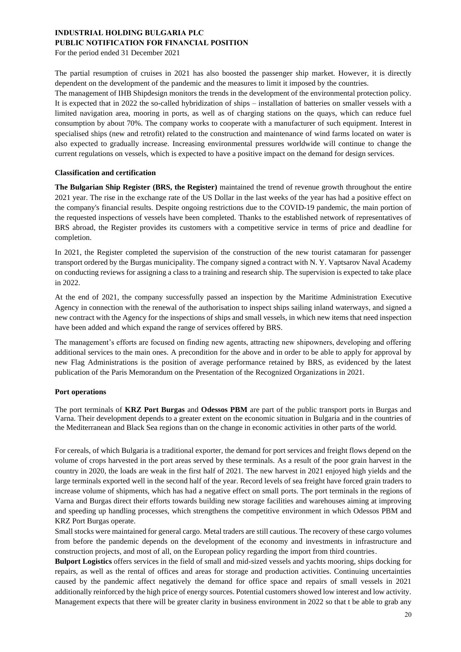For the period ended 31 December 2021

The partial resumption of cruises in 2021 has also boosted the passenger ship market. However, it is directly dependent on the development of the pandemic and the measures to limit it imposed by the countries.

The management of IHB Shipdesign monitors the trends in the development of the environmental protection policy. It is expected that in 2022 the so-called hybridization of ships – installation of batteries on smaller vessels with a limited navigation area, mooring in ports, as well as of charging stations on the quays, which can reduce fuel consumption by about 70%. The company works to cooperate with a manufacturer of such equipment. Interest in specialised ships (new and retrofit) related to the construction and maintenance of wind farms located on water is also expected to gradually increase. Increasing environmental pressures worldwide will continue to change the current regulations on vessels, which is expected to have a positive impact on the demand for design services.

### **Classification and certification**

**The Bulgarian Ship Register (BRS, the Register)** maintained the trend of revenue growth throughout the entire 2021 year. The rise in the exchange rate of the US Dollar in the last weeks of the year has had a positive effect on the company's financial results. Despite ongoing restrictions due to the COVID-19 pandemic, the main portion of the requested inspections of vessels have been completed. Thanks to the established network of representatives of BRS abroad, the Register provides its customers with a competitive service in terms of price and deadline for completion.

In 2021, the Register completed the supervision of the construction of the new tourist catamaran for passenger transport ordered by the Burgas municipality. The company signed a contract with N. Y. Vaptsarov Naval Academy on conducting reviews for assigning a class to a training and research ship. The supervision is expected to take place in 2022.

At the end of 2021, the company successfully passed an inspection by the Maritime Administration Executive Agency in connection with the renewal of the authorisation to inspect ships sailing inland waterways, and signed a new contract with the Agency for the inspections of ships and small vessels, in which new items that need inspection have been added and which expand the range of services offered by BRS.

The management's efforts are focused on finding new agents, attracting new shipowners, developing and offering additional services to the main ones. A precondition for the above and in order to be able to apply for approval by new Flag Administrations is the position of average performance retained by BRS, as evidenced by the latest publication of the Paris Memorandum on the Presentation of the Recognized Organizations in 2021.

#### **Port operations**

The port terminals of **KRZ Port Burgas** and **Odessos PBM** are part of the public transport ports in Burgas and Varna. Their development depends to a greater extent on the economic situation in Bulgaria and in the countries of the Mediterranean and Black Sea regions than on the change in economic activities in other parts of the world.

For cereals, of which Bulgaria is a traditional exporter, the demand for port services and freight flows depend on the volume of crops harvested in the port areas served by these terminals. As a result of the poor grain harvest in the country in 2020, the loads are weak in the first half of 2021. The new harvest in 2021 enjoyed high yields and the large terminals exported well in the second half of the year. Record levels of sea freight have forced grain traders to increase volume of shipments, which has had a negative effect on small ports. The port terminals in the regions of Varna and Burgas direct their efforts towards building new storage facilities and warehouses aiming at improving and speeding up handling processes, which strengthens the competitive environment in which Odessos PBM and KRZ Port Burgas operate.

Small stocks were maintained for general cargo. Metal traders are still cautious. The recovery of these cargo volumes from before the pandemic depends on the development of the economy and investments in infrastructure and construction projects, and most of all, on the European policy regarding the import from third countries.

**Bulport Logistics** offers services in the field of small and mid-sized vessels and yachts mooring, ships docking for repairs, as well as the rental of offices and areas for storage and production activities. Continuing uncertainties caused by the pandemic affect negatively the demand for office space and repairs of small vessels in 2021 additionally reinforced by the high price of energy sources. Potential customers showed low interest and low activity. Management expects that there will be greater clarity in business environment in 2022 so that t be able to grab any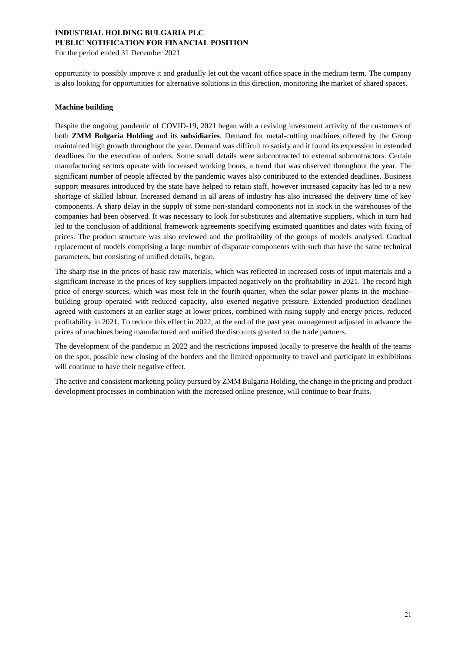For the period ended 31 December 2021

opportunity to possibly improve it and gradually let out the vacant office space in the medium term. The company is also looking for opportunities for alternative solutions in this direction, monitoring the market of shared spaces.

#### **Machine building**

Despite the ongoing pandemic of COVID-19, 2021 began with a reviving investment activity of the customers of both **ZMM Bulgaria Holding** and its **subsidiaries**. Demand for metal-cutting machines offered by the Group maintained high growth throughout the year. Demand was difficult to satisfy and it found its expression in extended deadlines for the execution of orders. Some small details were subcontracted to external subcontractors. Certain manufacturing sectors operate with increased working hours, a trend that was observed throughout the year. The significant number of people affected by the pandemic waves also contributed to the extended deadlines. Business support measures introduced by the state have helped to retain staff, however increased capacity has led to a new shortage of skilled labour. Increased demand in all areas of industry has also increased the delivery time of key components. A sharp delay in the supply of some non-standard components not in stock in the warehouses of the companies had been observed. It was necessary to look for substitutes and alternative suppliers, which in turn had led to the conclusion of additional framework agreements specifying estimated quantities and dates with fixing of prices. The product structure was also reviewed and the profitability of the groups of models analysed. Gradual replacement of models comprising a large number of disparate components with such that have the same technical parameters, but consisting of unified details, began.

The sharp rise in the prices of basic raw materials, which was reflected in increased costs of input materials and a significant increase in the prices of key suppliers impacted negatively on the profitability in 2021. The record high price of energy sources, which was most felt in the fourth quarter, when the solar power plants in the machinebuilding group operated with reduced capacity, also exerted negative pressure. Extended production deadlines agreed with customers at an earlier stage at lower prices, combined with rising supply and energy prices, reduced profitability in 2021. To reduce this effect in 2022, at the end of the past year management adjusted in advance the prices of machines being manufactured and unified the discounts granted to the trade partners.

The development of the pandemic in 2022 and the restrictions imposed locally to preserve the health of the teams on the spot, possible new closing of the borders and the limited opportunity to travel and participate in exhibitions will continue to have their negative effect.

The active and consistent marketing policy pursued by ZMM Bulgaria Holding, the change in the pricing and product development processes in combination with the increased online presence, will continue to bear fruits.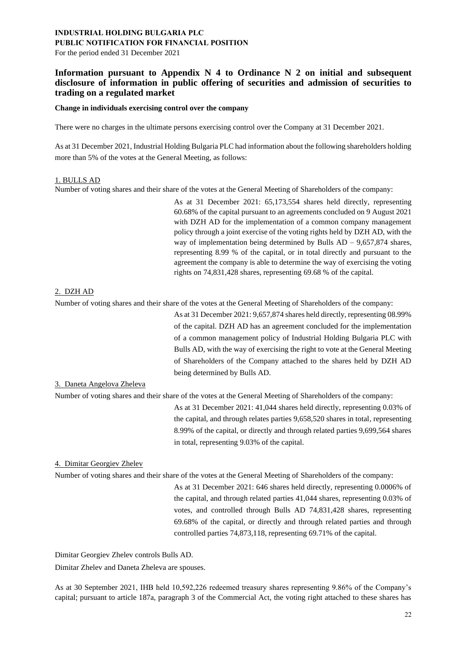For the period ended 31 December 2021

## **Information pursuant to Appendix N 4 to Ordinance N 2 on initial and subsequent disclosure of information in public offering of securities and admission of securities to trading on a regulated market**

#### **Change in individuals exercising control over the company**

There were no charges in the ultimate persons exercising control over the Company at 31 December 2021.

As at 31 December 2021, Industrial Holding Bulgaria PLC had information about the following shareholders holding more than 5% of the votes at the General Meeting, as follows:

#### 1. BULLS AD

Number of voting shares and their share of the votes at the General Meeting of Shareholders of the company:

As at 31 December 2021: 65,173,554 shares held directly, representing 60.68% of the capital pursuant to an agreements concluded on 9 August 2021 with DZH AD for the implementation of a common company management policy through a joint exercise of the voting rights held by DZH AD, with the way of implementation being determined by Bulls  $AD - 9,657,874$  shares, representing 8.99 % of the capital, or in total directly and pursuant to the agreement the company is able to determine the way of exercising the voting rights on 74,831,428 shares, representing 69.68 % of the capital.

#### 2. DZH AD

Number of voting shares and their share of the votes at the General Meeting of Shareholders of the company:

As at 31 December 2021: 9,657,874 shares held directly, representing 08.99% of the capital. DZH AD has an agreement concluded for the implementation of a common management policy of Industrial Holding Bulgaria PLC with Bulls AD, with the way of exercising the right to vote at the General Meeting of Shareholders of the Company attached to the shares held by DZH AD being determined by Bulls AD.

#### 3. Daneta Angelova Zheleva

Number of voting shares and their share of the votes at the General Meeting of Shareholders of the company:

As at 31 December 2021: 41,044 shares held directly, representing 0.03% of the capital, and through relates parties 9,658,520 shares in total, representing 8.99% of the capital, or directly and through related parties 9,699,564 shares in total, representing 9.03% of the capital.

#### 4. Dimitar Georgiev Zhelev

Number of voting shares and their share of the votes at the General Meeting of Shareholders of the company:

As at 31 December 2021: 646 shares held directly, representing 0.0006% of the capital, and through related parties 41,044 shares, representing 0.03% of votes, and controlled through Bulls AD 74,831,428 shares, representing 69.68% of the capital, or directly and through related parties and through controlled parties 74,873,118, representing 69.71% of the capital.

Dimitar Georgiev Zhelev controls Bulls AD.

Dimitar Zhelev and Daneta Zheleva are spouses.

As at 30 September 2021, IHB held 10,592,226 redeemed treasury shares representing 9.86% of the Company's capital; pursuant to article 187a, paragraph 3 of the Commercial Act, the voting right attached to these shares has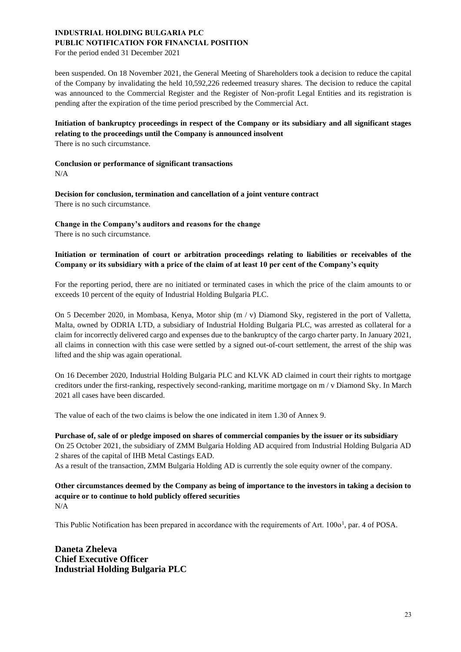For the period ended 31 December 2021

been suspended. On 18 November 2021, the General Meeting of Shareholders took a decision to reduce the capital of the Company by invalidating the held 10,592,226 redeemed treasury shares. The decision to reduce the capital was announced to the Commercial Register and the Register of Non-profit Legal Entities and its registration is pending after the expiration of the time period prescribed by the Commercial Act.

# **Initiation of bankruptcy proceedings in respect of the Company or its subsidiary and all significant stages relating to the proceedings until the Company is announced insolvent**

There is no such circumstance.

#### **Conclusion or performance of significant transactions**

N/A

**Decision for conclusion, termination and cancellation of a joint venture contract** There is no such circumstance.

**Change in the Company's auditors and reasons for the change** There is no such circumstance.

## **Initiation or termination of court or arbitration proceedings relating to liabilities or receivables of the Company or its subsidiary with a price of the claim of at least 10 per cent of the Company's equity**

For the reporting period, there are no initiated or terminated cases in which the price of the claim amounts to or exceeds 10 percent of the equity of Industrial Holding Bulgaria PLC.

On 5 December 2020, in Mombasa, Kenya, Motor ship (m / v) Diamond Sky, registered in the port of Valletta, Malta, owned by ODRIA LTD, a subsidiary of Industrial Holding Bulgaria PLC, was arrested as collateral for a claim for incorrectly delivered cargo and expenses due to the bankruptcy of the cargo charter party. In January 2021, all claims in connection with this case were settled by a signed out-of-court settlement, the arrest of the ship was lifted and the ship was again operational.

On 16 December 2020, Industrial Holding Bulgaria PLC and KLVK AD claimed in court their rights to mortgage creditors under the first-ranking, respectively second-ranking, maritime mortgage on m / v Diamond Sky. In March 2021 all cases have been discarded.

The value of each of the two claims is below the one indicated in item 1.30 of Annex 9.

### **Purchase of, sale of or pledge imposed on shares of commercial companies by the issuer or its subsidiary**

On 25 October 2021, the subsidiary of ZMM Bulgaria Holding AD acquired from Industrial Holding Bulgaria AD 2 shares of the capital of IHB Metal Castings EAD.

As a result of the transaction, ZMM Bulgaria Holding AD is currently the sole equity owner of the company.

**Other circumstances deemed by the Company as being of importance to the investors in taking a decision to acquire or to continue to hold publicly offered securities** N/A

This Public Notification has been prepared in accordance with the requirements of Art. 100o<sup>1</sup>, par. 4 of POSA.

**Daneta Zheleva Chief Executive Officer Industrial Holding Bulgaria PLC**